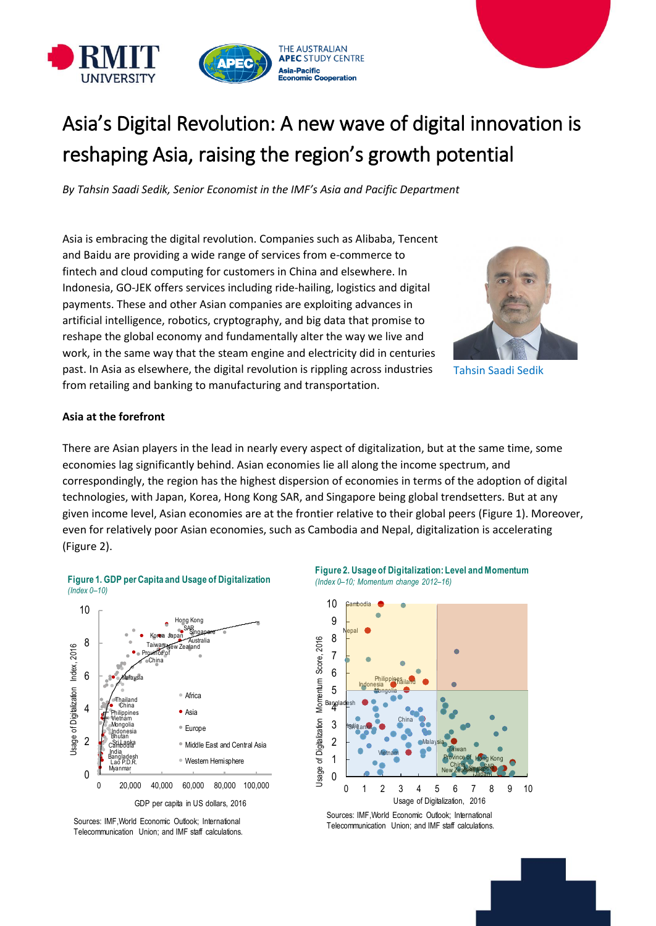

# Asia's Digital Revolution: A new wave of digital innovation is reshaping Asia, raising the region's growth potential

*By Tahsin Saadi Sedik, Senior Economist in the IMF's Asia and Pacific Department*

Asia is embracing the digital revolution. Companies such as Alibaba, Tencent and Baidu are providing a wide range of services from e-commerce to fintech and cloud computing for customers in China and elsewhere. In Indonesia, GO-JEK offers services including ride-hailing, logistics and digital payments. These and other Asian companies are exploiting advances in artificial intelligence, robotics, cryptography, and big data that promise to reshape the global economy and fundamentally alter the way we live and work, in the same way that the steam engine and electricity did in centuries past. In Asia as elsewhere, the digital revolution is rippling across industries from retailing and banking to manufacturing and transportation.



Tahsin Saadi Sedik

## **Asia at the forefront**

There are Asian players in the lead in nearly every aspect of digitalization, but at the same time, some economies lag significantly behind. Asian economies lie all along the income spectrum, and correspondingly, the region has the highest dispersion of economies in terms of the adoption of digital technologies, with Japan, Korea, Hong Kong SAR, and Singapore being global trendsetters. But at any given income level, Asian economies are at the frontier relative to their global peers (Figure 1). Moreover, even for relatively poor Asian economies, such as Cambodia and Nepal, digitalization is accelerating (Figure 2).



**Figure 1. GDP per Capita and Usage of Digitalization** *(Index 0–10)*





Sources: IMF, World Economic Outlook; International Telecommunication Union; and IMF staff calculations.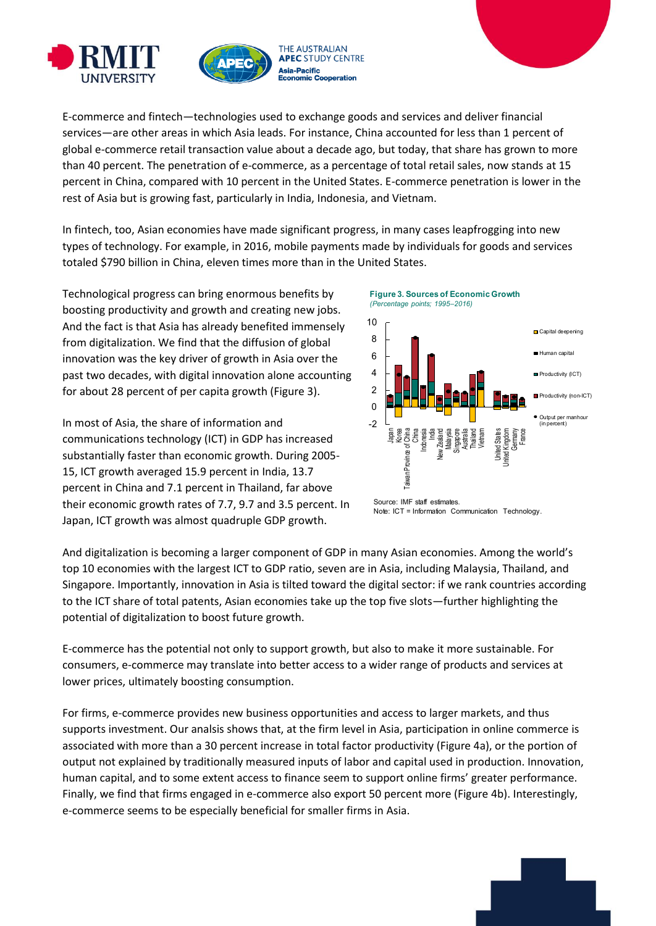![](_page_1_Picture_0.jpeg)

![](_page_1_Picture_1.jpeg)

E-commerce and fintech—technologies used to exchange goods and services and deliver financial services—are other areas in which Asia leads. For instance, China accounted for less than 1 percent of global e-commerce retail transaction value about a decade ago, but today, that share has grown to more than 40 percent. The penetration of e-commerce, as a percentage of total retail sales, now stands at 15 percent in China, compared with 10 percent in the United States. E-commerce penetration is lower in the rest of Asia but is growing fast, particularly in India, Indonesia, and Vietnam.

In fintech, too, Asian economies have made significant progress, in many cases leapfrogging into new types of technology. For example, in 2016, mobile payments made by individuals for goods and services totaled \$790 billion in China, eleven times more than in the United States.

Technological progress can bring enormous benefits by boosting productivity and growth and creating new jobs. And the fact is that Asia has already benefited immensely from digitalization. We find that the diffusion of global innovation was the key driver of growth in Asia over the past two decades, with digital innovation alone accounting for about 28 percent of per capita growth (Figure 3).

In most of Asia, the share of information and communications technology (ICT) in GDP has increased substantially faster than economic growth. During 2005- 15, ICT growth averaged 15.9 percent in India, 13.7 percent in China and 7.1 percent in Thailand, far above their economic growth rates of 7.7, 9.7 and 3.5 percent. In Japan, ICT growth was almost quadruple GDP growth.

![](_page_1_Figure_6.jpeg)

![](_page_1_Figure_7.jpeg)

![](_page_1_Figure_8.jpeg)

And digitalization is becoming a larger component of GDP in many Asian economies. Among the world's top 10 economies with the largest ICT to GDP ratio, seven are in Asia, including Malaysia, Thailand, and Singapore. Importantly, innovation in Asia is tilted toward the digital sector: if we rank countries according to the ICT share of total patents, Asian economies take up the top five slots—further highlighting the potential of digitalization to boost future growth.

E-commerce has the potential not only to support growth, but also to make it more sustainable. For consumers, e-commerce may translate into better access to a wider range of products and services at lower prices, ultimately boosting consumption.

For firms, e-commerce provides new business opportunities and access to larger markets, and thus supports investment. Our analsis shows that, at the firm level in Asia, participation in online commerce is associated with more than a 30 percent increase in total factor productivity (Figure 4a), or the portion of output not explained by traditionally measured inputs of labor and capital used in production. Innovation, human capital, and to some extent access to finance seem to support online firms' greater performance. Finally, we find that firms engaged in e-commerce also export 50 percent more (Figure 4b). Interestingly, e-commerce seems to be especially beneficial for smaller firms in Asia.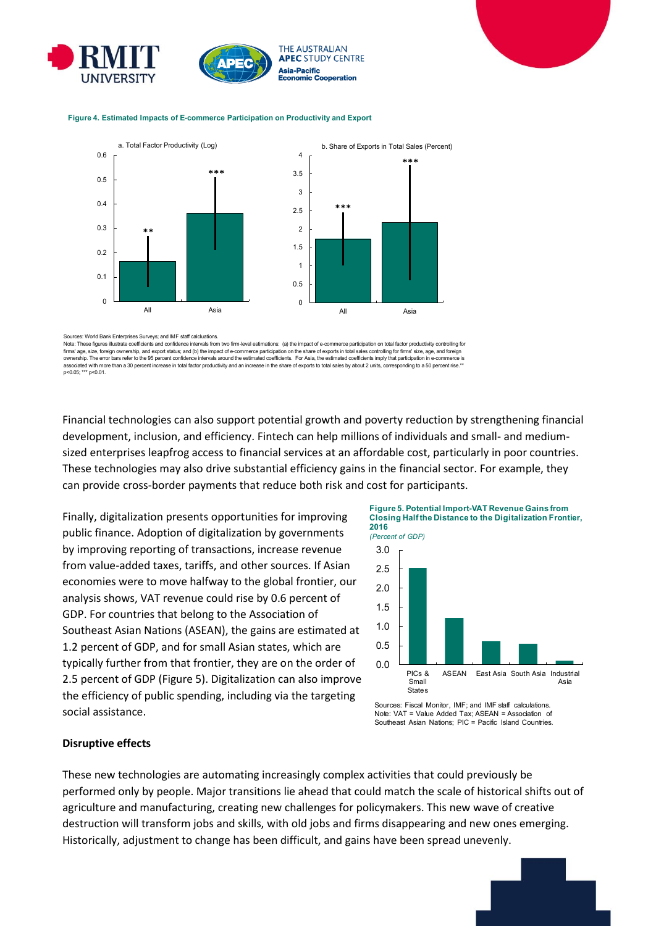![](_page_2_Picture_0.jpeg)

![](_page_2_Figure_1.jpeg)

#### **Figure 4. Estimated Impacts of E-commerce Participation on Productivity and Export**

![](_page_2_Figure_3.jpeg)

Sources: World Bank Enterprises Surveys; and IMF staff calcluations.

Note: These figures illustrate coefficients and confidence intervals from two firm-level estimations: (a) the impact of e-commerce participation on total factor productivity controlling for firms' age, size, foreign ownership, and export status; and (b) the impact of e-commerce participation on the share of exports in total sales controlling for firms' size, age, and foreign<br>ownership. The error bars refer to p<0.05; \*\*\* p<0.01.

Financial technologies can also support potential growth and poverty reduction by strengthening financial development, inclusion, and efficiency. Fintech can help millions of individuals and small- and mediumsized enterprises leapfrog access to financial services at an affordable cost, particularly in poor countries. These technologies may also drive substantial efficiency gains in the financial sector. For example, they can provide cross-border payments that reduce both risk and cost for participants.

Finally, digitalization presents opportunities for improving public finance. Adoption of digitalization by governments by improving reporting of transactions, increase revenue from value-added taxes, tariffs, and other sources. If Asian economies were to move halfway to the global frontier, our analysis shows, VAT revenue could rise by 0.6 percent of GDP. For countries that belong to the Association of Southeast Asian Nations (ASEAN), the gains are estimated at 1.2 percent of GDP, and for small Asian states, which are typically further from that frontier, they are on the order of 2.5 percent of GDP (Figure 5). Digitalization can also improve the efficiency of public spending, including via the targeting social assistance.

![](_page_2_Figure_8.jpeg)

![](_page_2_Figure_9.jpeg)

Sources: Fiscal Monitor, IMF; and IMF staff calculations. Note: VAT = Value Added Tax; ASEAN = Association of Southeast Asian Nations; PIC = Pacific Island Countries.

### **Disruptive effects**

These new technologies are automating increasingly complex activities that could previously be performed only by people. Major transitions lie ahead that could match the scale of historical shifts out of agriculture and manufacturing, creating new challenges for policymakers. This new wave of creative destruction will transform jobs and skills, with old jobs and firms disappearing and new ones emerging. Historically, adjustment to change has been difficult, and gains have been spread unevenly.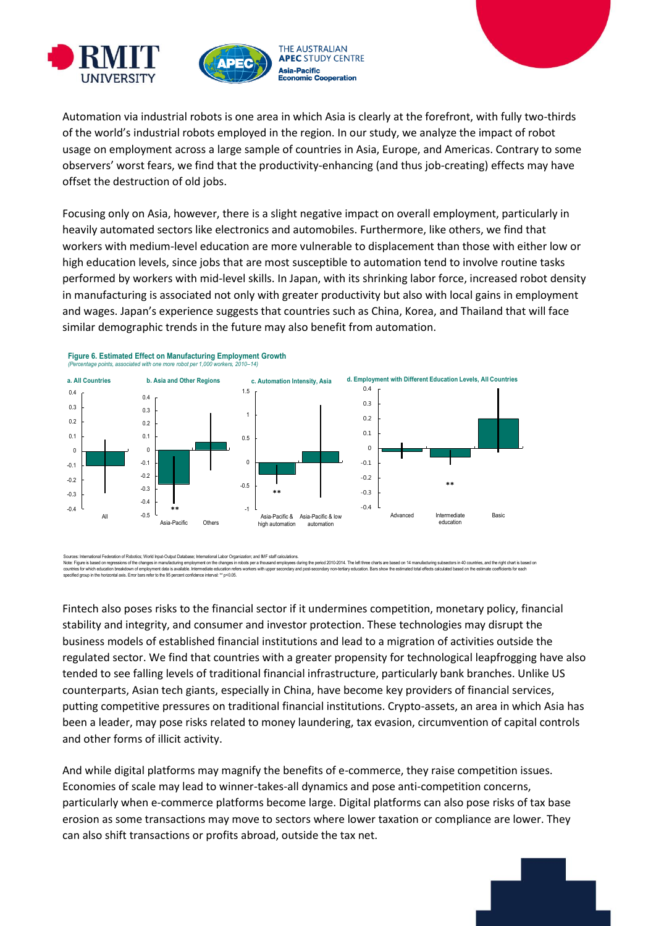![](_page_3_Picture_0.jpeg)

![](_page_3_Picture_1.jpeg)

Automation via industrial robots is one area in which Asia is clearly at the forefront, with fully two-thirds of the world's industrial robots employed in the region. In our study, we analyze the impact of robot usage on employment across a large sample of countries in Asia, Europe, and Americas. Contrary to some observers' worst fears, we find that the productivity-enhancing (and thus job-creating) effects may have offset the destruction of old jobs.

Focusing only on Asia, however, there is a slight negative impact on overall employment, particularly in heavily automated sectors like electronics and automobiles. Furthermore, like others, we find that workers with medium-level education are more vulnerable to displacement than those with either low or high education levels, since jobs that are most susceptible to automation tend to involve routine tasks performed by workers with mid-level skills. In Japan, with its shrinking labor force, increased robot density in manufacturing is associated not only with greater productivity but also with local gains in employment and wages. Japan's experience suggests that countries such as China, Korea, and Thailand that will face similar demographic trends in the future may also benefit from automation.

![](_page_3_Figure_4.jpeg)

ces: International Federation of Robotics: World Input-Output Database; International Labor Organization; and IMF staff calculations Note Figure is been regressions ofthe drange in manufacturing employment on the dranges in robos per a froused employment under the control of the first period of the first of the data see based on 4 manufacturing shapes a countries for which education the mark propent data is valiable. Intermediate education refers with upper secondary and post-secondary non-tertary education. Bars show the estimated total effects calculated based on the es

Fintech also poses risks to the financial sector if it undermines competition, monetary policy, financial stability and integrity, and consumer and investor protection. These technologies may disrupt the business models of established financial institutions and lead to a migration of activities outside the regulated sector. We find that countries with a greater propensity for technological leapfrogging have also tended to see falling levels of traditional financial infrastructure, particularly bank branches. Unlike US counterparts, Asian tech giants, especially in China, have become key providers of financial services, putting competitive pressures on traditional financial institutions. Crypto-assets, an area in which Asia has been a leader, may pose risks related to money laundering, tax evasion, circumvention of capital controls and other forms of illicit activity.

And while digital platforms may magnify the benefits of e-commerce, they raise competition issues. Economies of scale may lead to winner-takes-all dynamics and pose anti-competition concerns, particularly when e-commerce platforms become large. Digital platforms can also pose risks of tax base erosion as some transactions may move to sectors where lower taxation or compliance are lower. They can also shift transactions or profits abroad, outside the tax net.